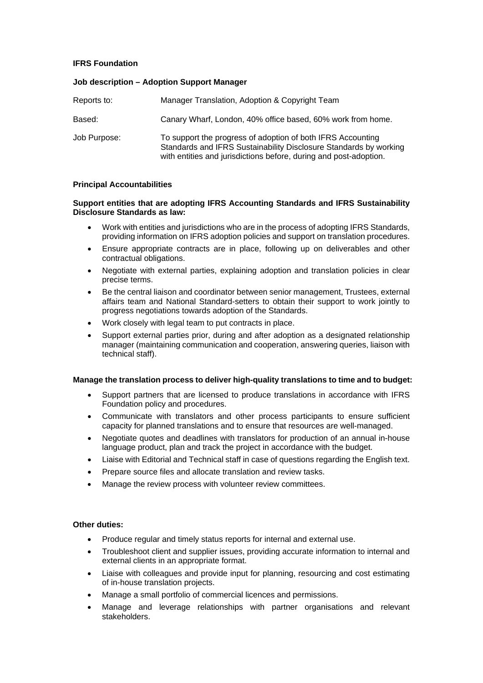# **IFRS Foundation**

### **Job description – Adoption Support Manager**

| Reports to:  | Manager Translation, Adoption & Copyright Team                                                                                                                                                        |
|--------------|-------------------------------------------------------------------------------------------------------------------------------------------------------------------------------------------------------|
| Based:       | Canary Wharf, London, 40% office based, 60% work from home.                                                                                                                                           |
| Job Purpose: | To support the progress of adoption of both IFRS Accounting<br>Standards and IFRS Sustainability Disclosure Standards by working<br>with entities and jurisdictions before, during and post-adoption. |

### **Principal Accountabilities**

### **Support entities that are adopting IFRS Accounting Standards and IFRS Sustainability Disclosure Standards as law:**

- Work with entities and jurisdictions who are in the process of adopting IFRS Standards, providing information on IFRS adoption policies and support on translation procedures.
- Ensure appropriate contracts are in place, following up on deliverables and other contractual obligations.
- Negotiate with external parties, explaining adoption and translation policies in clear precise terms.
- Be the central liaison and coordinator between senior management, Trustees, external affairs team and National Standard-setters to obtain their support to work jointly to progress negotiations towards adoption of the Standards.
- Work closely with legal team to put contracts in place.
- Support external parties prior, during and after adoption as a designated relationship manager (maintaining communication and cooperation, answering queries, liaison with technical staff).

### **Manage the translation process to deliver high-quality translations to time and to budget:**

- Support partners that are licensed to produce translations in accordance with IFRS Foundation policy and procedures.
- Communicate with translators and other process participants to ensure sufficient capacity for planned translations and to ensure that resources are well-managed.
- Negotiate quotes and deadlines with translators for production of an annual in-house language product, plan and track the project in accordance with the budget.
- Liaise with Editorial and Technical staff in case of questions regarding the English text.
- Prepare source files and allocate translation and review tasks.
- Manage the review process with volunteer review committees.

# **Other duties:**

- Produce regular and timely status reports for internal and external use.
- Troubleshoot client and supplier issues, providing accurate information to internal and external clients in an appropriate format.
- Liaise with colleagues and provide input for planning, resourcing and cost estimating of in-house translation projects.
- Manage a small portfolio of commercial licences and permissions.
- Manage and leverage relationships with partner organisations and relevant stakeholders.